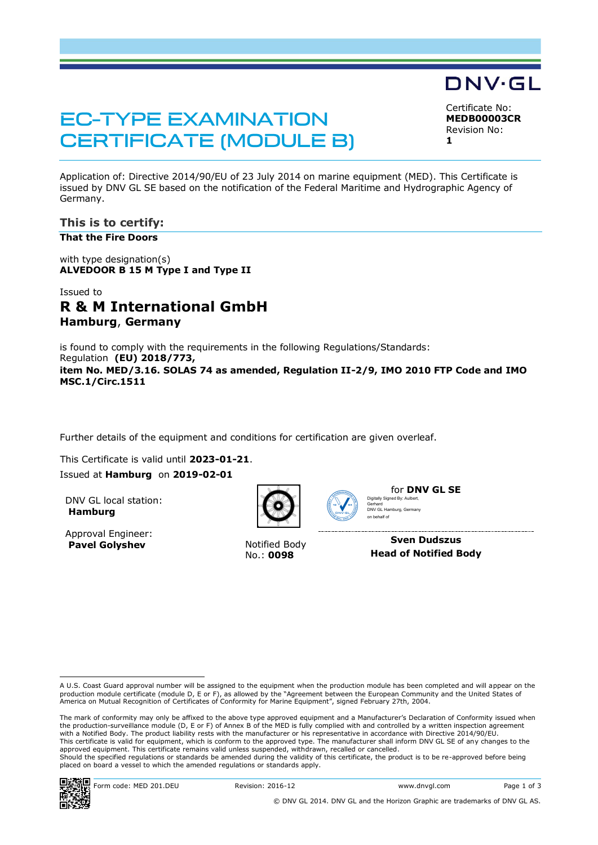# **EC-TYPE EXAMINATION CERTIFICATE (MODULE B)**

DNV·GL Certificate No:

**MEDB00003CR** Revision No: **1**

Application of: Directive 2014/90/EU of 23 July 2014 on marine equipment (MED). This Certificate is issued by DNV GL SE based on the notification of the Federal Maritime and Hydrographic Agency of Germany.

**This is to certify:**

**That the Fire Doors**

with type designation(s) **ALVEDOOR B 15 M Type I and Type II**

# Issued to **R & M International GmbH Hamburg**, **Germany**

is found to comply with the requirements in the following Regulations/Standards: Regulation **(EU) 2018/773, item No. MED/3.16. SOLAS 74 as amended, Regulation II-2/9, IMO 2010 FTP Code and IMO MSC.1/Circ.1511**

Further details of the equipment and conditions for certification are given overleaf.

This Certificate is valid until **2023-01-21**. Issued at **Hamburg** on **2019-02-01**

DNV GL local station: **Hamburg**

Approval Engineer: **Pavel Golyshev** Notified Body



No.: **0098**



for **DNV GL SE** Digitally Signed By: Aulbert, Gerhard DNV GL Hamburg, Germany

on behalf of

**Sven Dudszus Head of Notified Body**

A U.S. Coast Guard approval number will be assigned to the equipment when the production module has been completed and will appear on the<br>production module certificate (module D, E or F), as allowed by the "Agreement betwe America on Mutual Recognition of Certificates of Conformity for Marine Equipment", signed February 27th, 2004.

The mark of conformity may only be affixed to the above type approved equipment and a Manufacturer's Declaration of Conformity issued when the production-surveillance module (D, E or F) of Annex B of the MED is fully complied with and controlled by a written inspection agreement with a Notified Body. The product liability rests with the manufacturer or his representative in accordance with Directive 2014/90/EU. This certificate is valid for equipment, which is conform to the approved type. The manufacturer shall inform DNV GL SE of any changes to the approved equipment. This certificate remains valid unless suspended, withdrawn, recalled or cancelled. Should the specified regulations or standards be amended during the validity of this certificate, the product is to be re-approved before being placed on board a vessel to which the amended regulations or standards apply.

i<br>I

Form code: MED 201.DEU Revision: 2016-12 www.dnvgl.com Page 1 of 3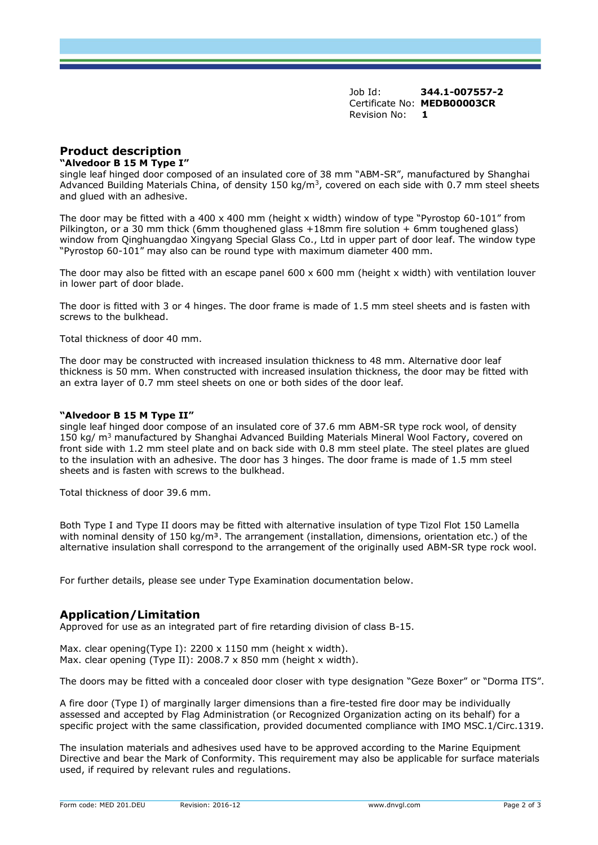Job Id: **344.1-007557-2** Certificate No: **MEDB00003CR** Revision No: **1**

# **Product description**

### **"Alvedoor B 15 M Type I"**

single leaf hinged door composed of an insulated core of 38 mm "ABM-SR", manufactured by Shanghai Advanced Building Materials China, of density 150 kg/m<sup>3</sup>, covered on each side with 0.7 mm steel sheets and glued with an adhesive.

The door may be fitted with a 400 x 400 mm (height x width) window of type "Pyrostop 60-101" from Pilkington, or a 30 mm thick (6mm thoughened glass +18mm fire solution + 6mm toughened glass) window from Qinghuangdao Xingyang Special Glass Co., Ltd in upper part of door leaf. The window type "Pyrostop 60-101" may also can be round type with maximum diameter 400 mm.

The door may also be fitted with an escape panel  $600 \times 600$  mm (height x width) with ventilation louver in lower part of door blade.

The door is fitted with 3 or 4 hinges. The door frame is made of 1.5 mm steel sheets and is fasten with screws to the bulkhead.

Total thickness of door 40 mm.

The door may be constructed with increased insulation thickness to 48 mm. Alternative door leaf thickness is 50 mm. When constructed with increased insulation thickness, the door may be fitted with an extra layer of 0.7 mm steel sheets on one or both sides of the door leaf.

### **"Alvedoor B 15 M Type II"**

single leaf hinged door compose of an insulated core of 37.6 mm ABM-SR type rock wool, of density 150 kg/ m<sup>3</sup> manufactured by Shanghai Advanced Building Materials Mineral Wool Factory, covered on front side with 1.2 mm steel plate and on back side with 0.8 mm steel plate. The steel plates are glued to the insulation with an adhesive. The door has 3 hinges. The door frame is made of 1.5 mm steel sheets and is fasten with screws to the bulkhead.

Total thickness of door 39.6 mm.

Both Type I and Type II doors may be fitted with alternative insulation of type Tizol Flot 150 Lamella with nominal density of 150 kg/m<sup>3</sup>. The arrangement (installation, dimensions, orientation etc.) of the alternative insulation shall correspond to the arrangement of the originally used ABM-SR type rock wool.

For further details, please see under Type Examination documentation below.

## **Application/Limitation**

Approved for use as an integrated part of fire retarding division of class B-15.

Max. clear opening(Type I): 2200 x 1150 mm (height x width). Max. clear opening (Type II): 2008.7 x 850 mm (height x width).

The doors may be fitted with a concealed door closer with type designation "Geze Boxer" or "Dorma ITS".

A fire door (Type I) of marginally larger dimensions than a fire-tested fire door may be individually assessed and accepted by Flag Administration (or Recognized Organization acting on its behalf) for a specific project with the same classification, provided documented compliance with IMO MSC.1/Circ.1319.

The insulation materials and adhesives used have to be approved according to the Marine Equipment Directive and bear the Mark of Conformity. This requirement may also be applicable for surface materials used, if required by relevant rules and regulations.